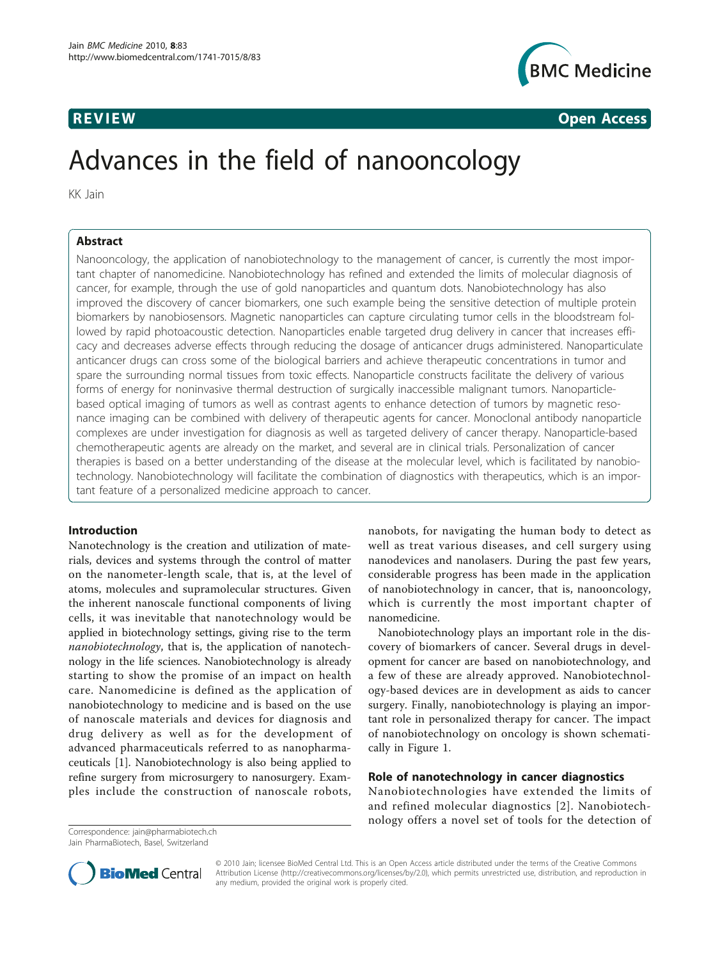

**REVIEW REVIEW** *REVIEW REVIEW REVIEW REVIEW REVIEW REVIEW REVIEW REVIEW REVIEW* 

# Advances in the field of nanooncology

KK Jain

# Abstract

Nanooncology, the application of nanobiotechnology to the management of cancer, is currently the most important chapter of nanomedicine. Nanobiotechnology has refined and extended the limits of molecular diagnosis of cancer, for example, through the use of gold nanoparticles and quantum dots. Nanobiotechnology has also improved the discovery of cancer biomarkers, one such example being the sensitive detection of multiple protein biomarkers by nanobiosensors. Magnetic nanoparticles can capture circulating tumor cells in the bloodstream followed by rapid photoacoustic detection. Nanoparticles enable targeted drug delivery in cancer that increases efficacy and decreases adverse effects through reducing the dosage of anticancer drugs administered. Nanoparticulate anticancer drugs can cross some of the biological barriers and achieve therapeutic concentrations in tumor and spare the surrounding normal tissues from toxic effects. Nanoparticle constructs facilitate the delivery of various forms of energy for noninvasive thermal destruction of surgically inaccessible malignant tumors. Nanoparticlebased optical imaging of tumors as well as contrast agents to enhance detection of tumors by magnetic resonance imaging can be combined with delivery of therapeutic agents for cancer. Monoclonal antibody nanoparticle complexes are under investigation for diagnosis as well as targeted delivery of cancer therapy. Nanoparticle-based chemotherapeutic agents are already on the market, and several are in clinical trials. Personalization of cancer therapies is based on a better understanding of the disease at the molecular level, which is facilitated by nanobiotechnology. Nanobiotechnology will facilitate the combination of diagnostics with therapeutics, which is an important feature of a personalized medicine approach to cancer.

# Introduction

Nanotechnology is the creation and utilization of materials, devices and systems through the control of matter on the nanometer-length scale, that is, at the level of atoms, molecules and supramolecular structures. Given the inherent nanoscale functional components of living cells, it was inevitable that nanotechnology would be applied in biotechnology settings, giving rise to the term nanobiotechnology, that is, the application of nanotechnology in the life sciences. Nanobiotechnology is already starting to show the promise of an impact on health care. Nanomedicine is defined as the application of nanobiotechnology to medicine and is based on the use of nanoscale materials and devices for diagnosis and drug delivery as well as for the development of advanced pharmaceuticals referred to as nanopharmaceuticals [\[1](#page-9-0)]. Nanobiotechnology is also being applied to refine surgery from microsurgery to nanosurgery. Examples include the construction of nanoscale robots,

nanobots, for navigating the human body to detect as well as treat various diseases, and cell surgery using nanodevices and nanolasers. During the past few years, considerable progress has been made in the application of nanobiotechnology in cancer, that is, nanooncology, which is currently the most important chapter of nanomedicine.

Nanobiotechnology plays an important role in the discovery of biomarkers of cancer. Several drugs in development for cancer are based on nanobiotechnology, and a few of these are already approved. Nanobiotechnology-based devices are in development as aids to cancer surgery. Finally, nanobiotechnology is playing an important role in personalized therapy for cancer. The impact of nanobiotechnology on oncology is shown schematically in Figure [1](#page-1-0).

# Role of nanotechnology in cancer diagnostics

Nanobiotechnologies have extended the limits of and refined molecular diagnostics [\[2\]](#page-9-0). Nanobiotechnology offers a novel set of tools for the detection of

Correspondence: [jain@pharmabiotech.ch](mailto:jain@pharmabiotech.ch) Jain PharmaBiotech, Basel, Switzerland



© 2010 Jain; licensee BioMed Central Ltd. This is an Open Access article distributed under the terms of the Creative Commons Attribution License [\(http://creativecommons.org/licenses/by/2.0](http://creativecommons.org/licenses/by/2.0)), which permits unrestricted use, distribution, and reproduction in any medium, provided the original work is properly cited.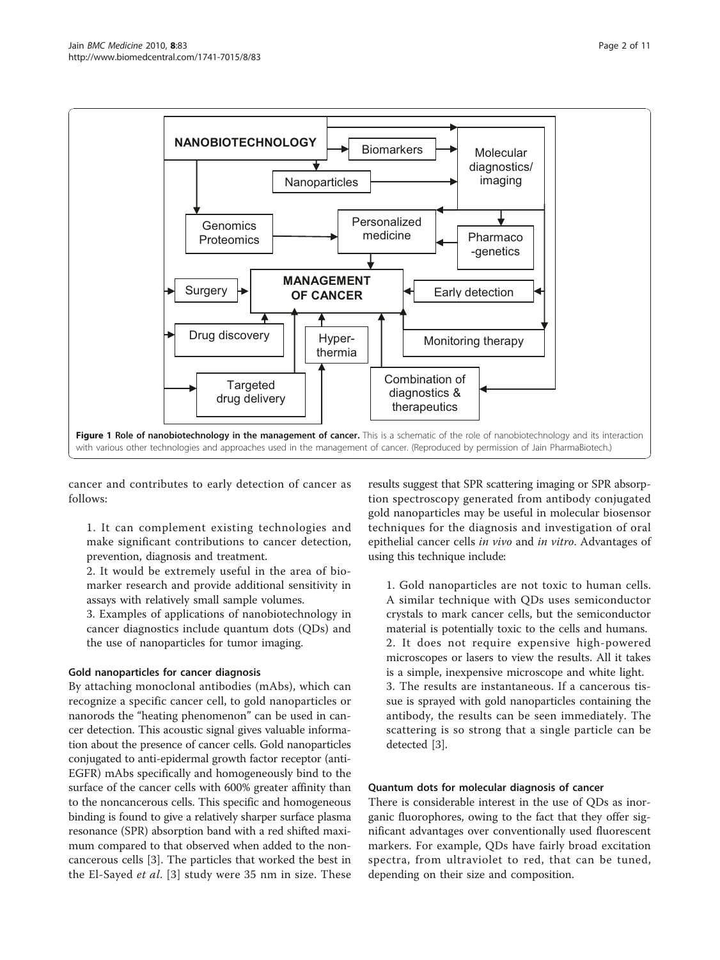<span id="page-1-0"></span>

cancer and contributes to early detection of cancer as follows:

1. It can complement existing technologies and make significant contributions to cancer detection, prevention, diagnosis and treatment.

2. It would be extremely useful in the area of biomarker research and provide additional sensitivity in assays with relatively small sample volumes.

3. Examples of applications of nanobiotechnology in cancer diagnostics include quantum dots (QDs) and the use of nanoparticles for tumor imaging.

# Gold nanoparticles for cancer diagnosis

By attaching monoclonal antibodies (mAbs), which can recognize a specific cancer cell, to gold nanoparticles or nanorods the "heating phenomenon" can be used in cancer detection. This acoustic signal gives valuable information about the presence of cancer cells. Gold nanoparticles conjugated to anti-epidermal growth factor receptor (anti-EGFR) mAbs specifically and homogeneously bind to the surface of the cancer cells with 600% greater affinity than to the noncancerous cells. This specific and homogeneous binding is found to give a relatively sharper surface plasma resonance (SPR) absorption band with a red shifted maximum compared to that observed when added to the noncancerous cells [[3\]](#page-9-0). The particles that worked the best in the El-Sayed et al. [[3](#page-9-0)] study were 35 nm in size. These

results suggest that SPR scattering imaging or SPR absorption spectroscopy generated from antibody conjugated gold nanoparticles may be useful in molecular biosensor techniques for the diagnosis and investigation of oral epithelial cancer cells in vivo and in vitro. Advantages of using this technique include:

1. Gold nanoparticles are not toxic to human cells. A similar technique with QDs uses semiconductor crystals to mark cancer cells, but the semiconductor material is potentially toxic to the cells and humans. 2. It does not require expensive high-powered microscopes or lasers to view the results. All it takes is a simple, inexpensive microscope and white light. 3. The results are instantaneous. If a cancerous tissue is sprayed with gold nanoparticles containing the antibody, the results can be seen immediately. The scattering is so strong that a single particle can be detected [\[3](#page-9-0)].

# Quantum dots for molecular diagnosis of cancer

There is considerable interest in the use of QDs as inorganic fluorophores, owing to the fact that they offer significant advantages over conventionally used fluorescent markers. For example, QDs have fairly broad excitation spectra, from ultraviolet to red, that can be tuned, depending on their size and composition.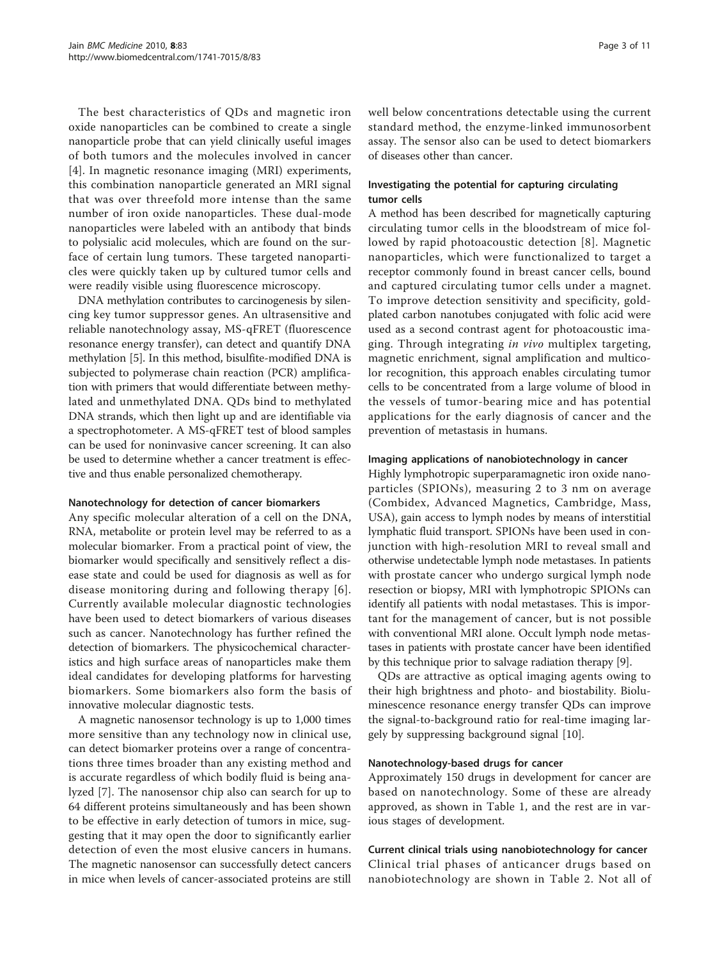The best characteristics of QDs and magnetic iron oxide nanoparticles can be combined to create a single nanoparticle probe that can yield clinically useful images of both tumors and the molecules involved in cancer [[4\]](#page-9-0). In magnetic resonance imaging (MRI) experiments, this combination nanoparticle generated an MRI signal that was over threefold more intense than the same number of iron oxide nanoparticles. These dual-mode nanoparticles were labeled with an antibody that binds to polysialic acid molecules, which are found on the surface of certain lung tumors. These targeted nanoparticles were quickly taken up by cultured tumor cells and were readily visible using fluorescence microscopy.

DNA methylation contributes to carcinogenesis by silencing key tumor suppressor genes. An ultrasensitive and reliable nanotechnology assay, MS-qFRET (fluorescence resonance energy transfer), can detect and quantify DNA methylation [\[5](#page-9-0)]. In this method, bisulfite-modified DNA is subjected to polymerase chain reaction (PCR) amplification with primers that would differentiate between methylated and unmethylated DNA. QDs bind to methylated DNA strands, which then light up and are identifiable via a spectrophotometer. A MS-qFRET test of blood samples can be used for noninvasive cancer screening. It can also be used to determine whether a cancer treatment is effective and thus enable personalized chemotherapy.

# Nanotechnology for detection of cancer biomarkers

Any specific molecular alteration of a cell on the DNA, RNA, metabolite or protein level may be referred to as a molecular biomarker. From a practical point of view, the biomarker would specifically and sensitively reflect a disease state and could be used for diagnosis as well as for disease monitoring during and following therapy [[6\]](#page-9-0). Currently available molecular diagnostic technologies have been used to detect biomarkers of various diseases such as cancer. Nanotechnology has further refined the detection of biomarkers. The physicochemical characteristics and high surface areas of nanoparticles make them ideal candidates for developing platforms for harvesting biomarkers. Some biomarkers also form the basis of innovative molecular diagnostic tests.

A magnetic nanosensor technology is up to 1,000 times more sensitive than any technology now in clinical use, can detect biomarker proteins over a range of concentrations three times broader than any existing method and is accurate regardless of which bodily fluid is being analyzed [\[7](#page-9-0)]. The nanosensor chip also can search for up to 64 different proteins simultaneously and has been shown to be effective in early detection of tumors in mice, suggesting that it may open the door to significantly earlier detection of even the most elusive cancers in humans. The magnetic nanosensor can successfully detect cancers in mice when levels of cancer-associated proteins are still well below concentrations detectable using the current standard method, the enzyme-linked immunosorbent

# Investigating the potential for capturing circulating tumor cells

of diseases other than cancer.

assay. The sensor also can be used to detect biomarkers

A method has been described for magnetically capturing circulating tumor cells in the bloodstream of mice followed by rapid photoacoustic detection [[8](#page-9-0)]. Magnetic nanoparticles, which were functionalized to target a receptor commonly found in breast cancer cells, bound and captured circulating tumor cells under a magnet. To improve detection sensitivity and specificity, goldplated carbon nanotubes conjugated with folic acid were used as a second contrast agent for photoacoustic imaging. Through integrating in vivo multiplex targeting, magnetic enrichment, signal amplification and multicolor recognition, this approach enables circulating tumor cells to be concentrated from a large volume of blood in the vessels of tumor-bearing mice and has potential applications for the early diagnosis of cancer and the prevention of metastasis in humans.

#### Imaging applications of nanobiotechnology in cancer

Highly lymphotropic superparamagnetic iron oxide nanoparticles (SPIONs), measuring 2 to 3 nm on average (Combidex, Advanced Magnetics, Cambridge, Mass, USA), gain access to lymph nodes by means of interstitial lymphatic fluid transport. SPIONs have been used in conjunction with high-resolution MRI to reveal small and otherwise undetectable lymph node metastases. In patients with prostate cancer who undergo surgical lymph node resection or biopsy, MRI with lymphotropic SPIONs can identify all patients with nodal metastases. This is important for the management of cancer, but is not possible with conventional MRI alone. Occult lymph node metastases in patients with prostate cancer have been identified by this technique prior to salvage radiation therapy [\[9\]](#page-9-0).

QDs are attractive as optical imaging agents owing to their high brightness and photo- and biostability. Bioluminescence resonance energy transfer QDs can improve the signal-to-background ratio for real-time imaging largely by suppressing background signal [\[10](#page-9-0)].

#### Nanotechnology-based drugs for cancer

Approximately 150 drugs in development for cancer are based on nanotechnology. Some of these are already approved, as shown in Table [1,](#page-3-0) and the rest are in various stages of development.

#### Current clinical trials using nanobiotechnology for cancer

Clinical trial phases of anticancer drugs based on nanobiotechnology are shown in Table [2.](#page-3-0) Not all of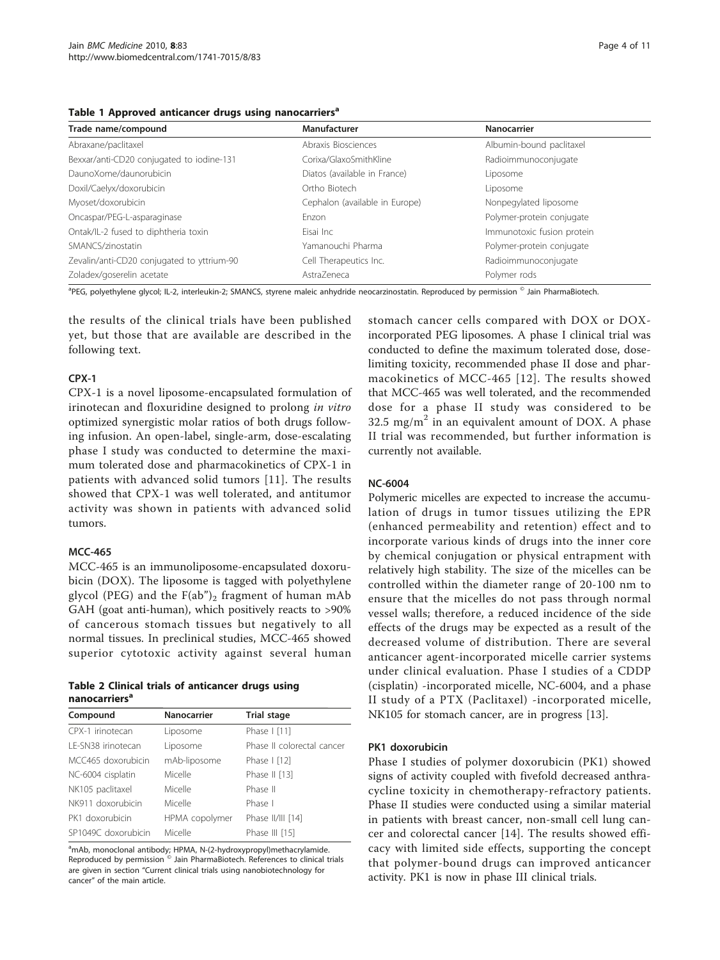#### <span id="page-3-0"></span>Table 1 Approved anticancer drugs using nanocarriers<sup>a</sup>

| Trade name/compound                        | Manufacturer                   | <b>Nanocarrier</b>         |
|--------------------------------------------|--------------------------------|----------------------------|
| Abraxane/paclitaxel                        | Abraxis Biosciences            | Albumin-bound paclitaxel   |
| Bexxar/anti-CD20 conjugated to iodine-131  | Corixa/GlaxoSmithKline         | Radioimmunoconjugate       |
| DaunoXome/daunorubicin                     | Diatos (available in France)   | Liposome                   |
| Doxil/Caelyx/doxorubicin                   | Ortho Biotech                  | Liposome                   |
| Myoset/doxorubicin                         | Cephalon (available in Europe) | Nonpegylated liposome      |
| Oncaspar/PEG-L-asparaginase                | Fnzon                          | Polymer-protein conjugate  |
| Ontak/IL-2 fused to diphtheria toxin       | Eisai Inc                      | Immunotoxic fusion protein |
| SMANCS/zinostatin                          | Yamanouchi Pharma              | Polymer-protein conjugate  |
| Zevalin/anti-CD20 conjugated to yttrium-90 | Cell Therapeutics Inc.         | Radioimmunoconjugate       |
| Zoladex/goserelin acetate                  | AstraZeneca                    | Polymer rods               |

<sup>a</sup>PEG, polyethylene glycol; IL-2, interleukin-2; SMANCS, styrene maleic anhydride neocarzinostatin. Reproduced by permission <sup>©</sup> Jain PharmaBiotech.

the results of the clinical trials have been published yet, but those that are available are described in the following text.

#### CPX-1

CPX-1 is a novel liposome-encapsulated formulation of irinotecan and floxuridine designed to prolong in vitro optimized synergistic molar ratios of both drugs following infusion. An open-label, single-arm, dose-escalating phase I study was conducted to determine the maximum tolerated dose and pharmacokinetics of CPX-1 in patients with advanced solid tumors [[11](#page-9-0)]. The results showed that CPX-1 was well tolerated, and antitumor activity was shown in patients with advanced solid tumors.

# MCC-465

MCC-465 is an immunoliposome-encapsulated doxorubicin (DOX). The liposome is tagged with polyethylene glycol (PEG) and the  $F(ab<sup>n</sup>)<sub>2</sub>$  fragment of human mAb GAH (goat anti-human), which positively reacts to >90% of cancerous stomach tissues but negatively to all normal tissues. In preclinical studies, MCC-465 showed superior cytotoxic activity against several human

|                           |  |  | Table 2 Clinical trials of anticancer drugs using |  |
|---------------------------|--|--|---------------------------------------------------|--|
| nanocarriers <sup>a</sup> |  |  |                                                   |  |

| Compound            | <b>Nanocarrier</b> | <b>Trial stage</b>         |
|---------------------|--------------------|----------------------------|
| CPX-1 irinotecan    | Liposome           | Phase I [11]               |
| I F-SN38 irinotecan | Liposome           | Phase II colorectal cancer |
| MCC465 doxorubicin  | mAb-liposome       | Phase $  [12]$             |
| NC-6004 cisplatin   | Micelle            | Phase $  $ [13]            |
| NK105 paclitaxel    | Micelle            | Phase II                   |
| NK911 doxorubicin   | Micelle            | Phase I                    |
| PK1 doxorubicin     | HPMA copolymer     | Phase II/III [14]          |
| SP1049C doxorubicin | Micelle            | Phase III [15]             |

<sup>a</sup>mAb, monoclonal antibody; HPMA, N-(2-hydroxypropyl)methacrylamide. Reproduced by permission © Jain PharmaBiotech. References to clinical trials are given in section "Current clinical trials using nanobiotechnology for cancer" of the main article.

stomach cancer cells compared with DOX or DOXincorporated PEG liposomes. A phase I clinical trial was conducted to define the maximum tolerated dose, doselimiting toxicity, recommended phase II dose and pharmacokinetics of MCC-465 [\[12](#page-9-0)]. The results showed that MCC-465 was well tolerated, and the recommended dose for a phase II study was considered to be 32.5 mg/m<sup>2</sup> in an equivalent amount of DOX. A phase II trial was recommended, but further information is currently not available.

# NC-6004

Polymeric micelles are expected to increase the accumulation of drugs in tumor tissues utilizing the EPR (enhanced permeability and retention) effect and to incorporate various kinds of drugs into the inner core by chemical conjugation or physical entrapment with relatively high stability. The size of the micelles can be controlled within the diameter range of 20-100 nm to ensure that the micelles do not pass through normal vessel walls; therefore, a reduced incidence of the side effects of the drugs may be expected as a result of the decreased volume of distribution. There are several anticancer agent-incorporated micelle carrier systems under clinical evaluation. Phase I studies of a CDDP (cisplatin) -incorporated micelle, NC-6004, and a phase II study of a PTX (Paclitaxel) -incorporated micelle, NK105 for stomach cancer, are in progress [\[13\]](#page-9-0).

#### PK1 doxorubicin

Phase I studies of polymer doxorubicin (PK1) showed signs of activity coupled with fivefold decreased anthracycline toxicity in chemotherapy-refractory patients. Phase II studies were conducted using a similar material in patients with breast cancer, non-small cell lung cancer and colorectal cancer [[14\]](#page-9-0). The results showed efficacy with limited side effects, supporting the concept that polymer-bound drugs can improved anticancer activity. PK1 is now in phase III clinical trials.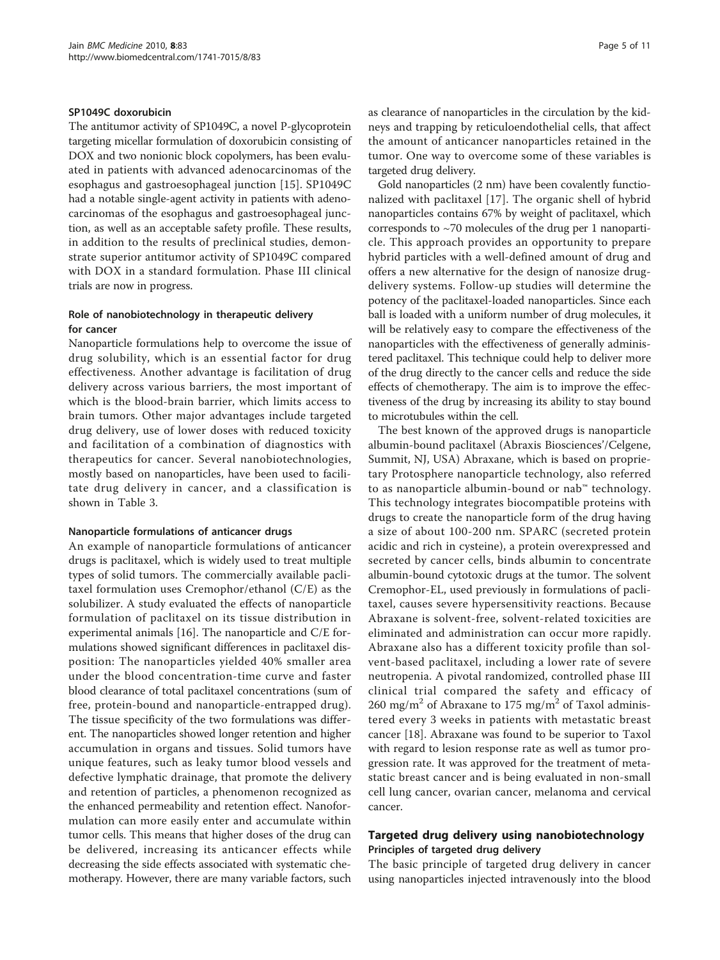#### SP1049C doxorubicin

The antitumor activity of SP1049C, a novel P-glycoprotein targeting micellar formulation of doxorubicin consisting of DOX and two nonionic block copolymers, has been evaluated in patients with advanced adenocarcinomas of the esophagus and gastroesophageal junction [[15\]](#page-9-0). SP1049C had a notable single-agent activity in patients with adenocarcinomas of the esophagus and gastroesophageal junction, as well as an acceptable safety profile. These results, in addition to the results of preclinical studies, demonstrate superior antitumor activity of SP1049C compared with DOX in a standard formulation. Phase III clinical trials are now in progress.

# Role of nanobiotechnology in therapeutic delivery for cancer

Nanoparticle formulations help to overcome the issue of drug solubility, which is an essential factor for drug effectiveness. Another advantage is facilitation of drug delivery across various barriers, the most important of which is the blood-brain barrier, which limits access to brain tumors. Other major advantages include targeted drug delivery, use of lower doses with reduced toxicity and facilitation of a combination of diagnostics with therapeutics for cancer. Several nanobiotechnologies, mostly based on nanoparticles, have been used to facilitate drug delivery in cancer, and a classification is shown in Table [3](#page-5-0).

#### Nanoparticle formulations of anticancer drugs

An example of nanoparticle formulations of anticancer drugs is paclitaxel, which is widely used to treat multiple types of solid tumors. The commercially available paclitaxel formulation uses Cremophor/ethanol (C/E) as the solubilizer. A study evaluated the effects of nanoparticle formulation of paclitaxel on its tissue distribution in experimental animals [\[16](#page-9-0)]. The nanoparticle and C/E formulations showed significant differences in paclitaxel disposition: The nanoparticles yielded 40% smaller area under the blood concentration-time curve and faster blood clearance of total paclitaxel concentrations (sum of free, protein-bound and nanoparticle-entrapped drug). The tissue specificity of the two formulations was different. The nanoparticles showed longer retention and higher accumulation in organs and tissues. Solid tumors have unique features, such as leaky tumor blood vessels and defective lymphatic drainage, that promote the delivery and retention of particles, a phenomenon recognized as the enhanced permeability and retention effect. Nanoformulation can more easily enter and accumulate within tumor cells. This means that higher doses of the drug can be delivered, increasing its anticancer effects while decreasing the side effects associated with systematic chemotherapy. However, there are many variable factors, such as clearance of nanoparticles in the circulation by the kidneys and trapping by reticuloendothelial cells, that affect the amount of anticancer nanoparticles retained in the tumor. One way to overcome some of these variables is targeted drug delivery.

Gold nanoparticles (2 nm) have been covalently functionalized with paclitaxel [\[17](#page-9-0)]. The organic shell of hybrid nanoparticles contains 67% by weight of paclitaxel, which corresponds to  $\sim$ 70 molecules of the drug per 1 nanoparticle. This approach provides an opportunity to prepare hybrid particles with a well-defined amount of drug and offers a new alternative for the design of nanosize drugdelivery systems. Follow-up studies will determine the potency of the paclitaxel-loaded nanoparticles. Since each ball is loaded with a uniform number of drug molecules, it will be relatively easy to compare the effectiveness of the nanoparticles with the effectiveness of generally administered paclitaxel. This technique could help to deliver more of the drug directly to the cancer cells and reduce the side effects of chemotherapy. The aim is to improve the effectiveness of the drug by increasing its ability to stay bound to microtubules within the cell.

The best known of the approved drugs is nanoparticle albumin-bound paclitaxel (Abraxis Biosciences'/Celgene, Summit, NJ, USA) Abraxane, which is based on proprietary Protosphere nanoparticle technology, also referred to as nanoparticle albumin-bound or nab™ technology. This technology integrates biocompatible proteins with drugs to create the nanoparticle form of the drug having a size of about 100-200 nm. SPARC (secreted protein acidic and rich in cysteine), a protein overexpressed and secreted by cancer cells, binds albumin to concentrate albumin-bound cytotoxic drugs at the tumor. The solvent Cremophor-EL, used previously in formulations of paclitaxel, causes severe hypersensitivity reactions. Because Abraxane is solvent-free, solvent-related toxicities are eliminated and administration can occur more rapidly. Abraxane also has a different toxicity profile than solvent-based paclitaxel, including a lower rate of severe neutropenia. A pivotal randomized, controlled phase III clinical trial compared the safety and efficacy of 260 mg/m<sup>2</sup> of Abraxane to 175 mg/m<sup>2</sup> of Taxol administered every 3 weeks in patients with metastatic breast cancer [[18\]](#page-10-0). Abraxane was found to be superior to Taxol with regard to lesion response rate as well as tumor progression rate. It was approved for the treatment of metastatic breast cancer and is being evaluated in non-small cell lung cancer, ovarian cancer, melanoma and cervical cancer.

# Targeted drug delivery using nanobiotechnology Principles of targeted drug delivery

The basic principle of targeted drug delivery in cancer using nanoparticles injected intravenously into the blood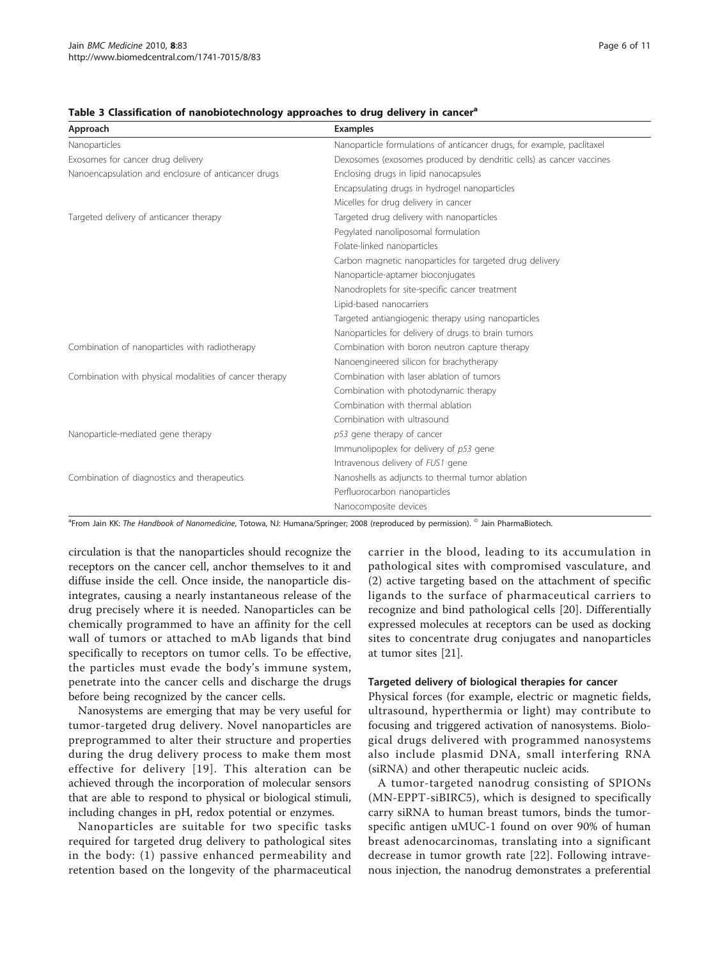| Approach                                               | <b>Examples</b>                                                        |
|--------------------------------------------------------|------------------------------------------------------------------------|
| Nanoparticles                                          | Nanoparticle formulations of anticancer drugs, for example, paclitaxel |
| Exosomes for cancer drug delivery                      | Dexosomes (exosomes produced by dendritic cells) as cancer vaccines    |
| Nanoencapsulation and enclosure of anticancer drugs    | Enclosing drugs in lipid nanocapsules                                  |
|                                                        | Encapsulating drugs in hydrogel nanoparticles                          |
|                                                        | Micelles for drug delivery in cancer                                   |
| Targeted delivery of anticancer therapy                | Targeted drug delivery with nanoparticles                              |
|                                                        | Pegylated nanoliposomal formulation                                    |
|                                                        | Folate-linked nanoparticles                                            |
|                                                        | Carbon magnetic nanoparticles for targeted drug delivery               |
|                                                        | Nanoparticle-aptamer bioconjugates                                     |
|                                                        | Nanodroplets for site-specific cancer treatment                        |
|                                                        | Lipid-based nanocarriers                                               |
|                                                        | Targeted antiangiogenic therapy using nanoparticles                    |
|                                                        | Nanoparticles for delivery of drugs to brain tumors                    |
| Combination of nanoparticles with radiotherapy         | Combination with boron neutron capture therapy                         |
|                                                        | Nanoengineered silicon for brachytherapy                               |
| Combination with physical modalities of cancer therapy | Combination with laser ablation of tumors                              |
|                                                        | Combination with photodynamic therapy                                  |
|                                                        | Combination with thermal ablation                                      |
|                                                        | Combination with ultrasound                                            |
| Nanoparticle-mediated gene therapy                     | p53 gene therapy of cancer                                             |
|                                                        | Immunolipoplex for delivery of p53 gene                                |
|                                                        | Intravenous delivery of FUS1 gene                                      |
| Combination of diagnostics and therapeutics            | Nanoshells as adjuncts to thermal tumor ablation                       |
|                                                        | Perfluorocarbon nanoparticles                                          |
|                                                        | Nanocomposite devices                                                  |

#### <span id="page-5-0"></span>Table 3 Classification of nanobiotechnology approaches to drug delivery in cancer<sup>a</sup>

<sup>a</sup>From Jain KK: *The Handbook of Nanomedicine,* Totowa, NJ: Humana/Springer; 2008 (reproduced by permission). <sup>©</sup> Jain PharmaBiotech.

circulation is that the nanoparticles should recognize the receptors on the cancer cell, anchor themselves to it and diffuse inside the cell. Once inside, the nanoparticle disintegrates, causing a nearly instantaneous release of the drug precisely where it is needed. Nanoparticles can be chemically programmed to have an affinity for the cell wall of tumors or attached to mAb ligands that bind specifically to receptors on tumor cells. To be effective, the particles must evade the body's immune system, penetrate into the cancer cells and discharge the drugs before being recognized by the cancer cells.

Nanosystems are emerging that may be very useful for tumor-targeted drug delivery. Novel nanoparticles are preprogrammed to alter their structure and properties during the drug delivery process to make them most effective for delivery [[19\]](#page-10-0). This alteration can be achieved through the incorporation of molecular sensors that are able to respond to physical or biological stimuli, including changes in pH, redox potential or enzymes.

Nanoparticles are suitable for two specific tasks required for targeted drug delivery to pathological sites in the body: (1) passive enhanced permeability and retention based on the longevity of the pharmaceutical carrier in the blood, leading to its accumulation in pathological sites with compromised vasculature, and (2) active targeting based on the attachment of specific ligands to the surface of pharmaceutical carriers to recognize and bind pathological cells [\[20](#page-10-0)]. Differentially expressed molecules at receptors can be used as docking sites to concentrate drug conjugates and nanoparticles at tumor sites [\[21\]](#page-10-0).

#### Targeted delivery of biological therapies for cancer

Physical forces (for example, electric or magnetic fields, ultrasound, hyperthermia or light) may contribute to focusing and triggered activation of nanosystems. Biological drugs delivered with programmed nanosystems also include plasmid DNA, small interfering RNA (siRNA) and other therapeutic nucleic acids.

A tumor-targeted nanodrug consisting of SPIONs (MN-EPPT-siBIRC5), which is designed to specifically carry siRNA to human breast tumors, binds the tumorspecific antigen uMUC-1 found on over 90% of human breast adenocarcinomas, translating into a significant decrease in tumor growth rate [[22\]](#page-10-0). Following intravenous injection, the nanodrug demonstrates a preferential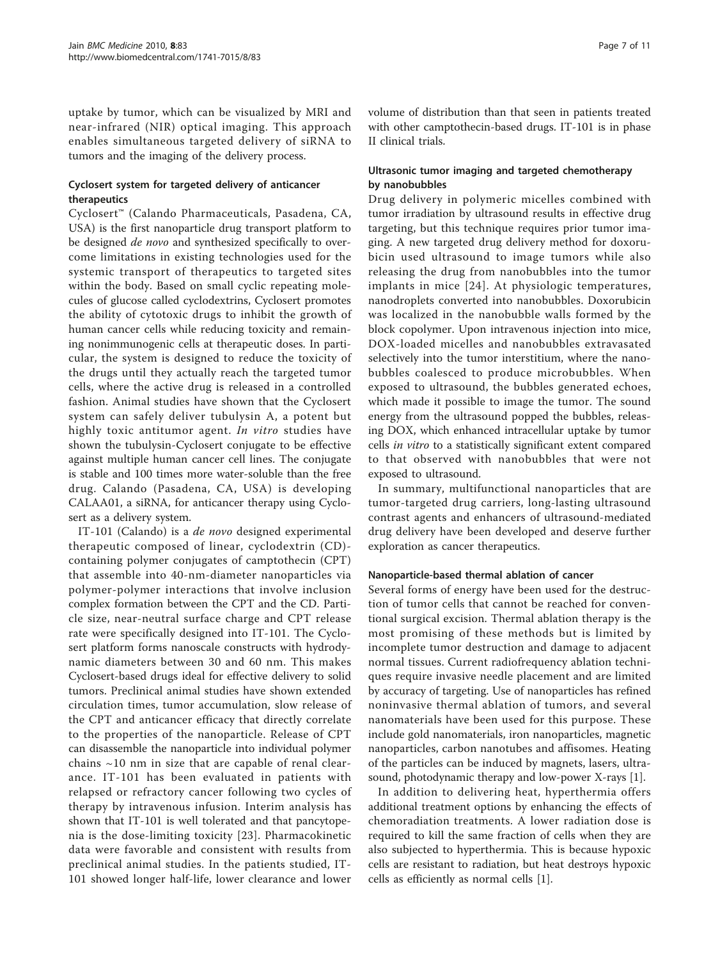uptake by tumor, which can be visualized by MRI and near-infrared (NIR) optical imaging. This approach enables simultaneous targeted delivery of siRNA to tumors and the imaging of the delivery process.

# Cyclosert system for targeted delivery of anticancer therapeutics

Cyclosert™ (Calando Pharmaceuticals, Pasadena, CA, USA) is the first nanoparticle drug transport platform to be designed *de novo* and synthesized specifically to overcome limitations in existing technologies used for the systemic transport of therapeutics to targeted sites within the body. Based on small cyclic repeating molecules of glucose called cyclodextrins, Cyclosert promotes the ability of cytotoxic drugs to inhibit the growth of human cancer cells while reducing toxicity and remaining nonimmunogenic cells at therapeutic doses. In particular, the system is designed to reduce the toxicity of the drugs until they actually reach the targeted tumor cells, where the active drug is released in a controlled fashion. Animal studies have shown that the Cyclosert system can safely deliver tubulysin A, a potent but highly toxic antitumor agent. In vitro studies have shown the tubulysin-Cyclosert conjugate to be effective against multiple human cancer cell lines. The conjugate is stable and 100 times more water-soluble than the free drug. Calando (Pasadena, CA, USA) is developing CALAA01, a siRNA, for anticancer therapy using Cyclosert as a delivery system.

IT-101 (Calando) is a de novo designed experimental therapeutic composed of linear, cyclodextrin (CD) containing polymer conjugates of camptothecin (CPT) that assemble into 40-nm-diameter nanoparticles via polymer-polymer interactions that involve inclusion complex formation between the CPT and the CD. Particle size, near-neutral surface charge and CPT release rate were specifically designed into IT-101. The Cyclosert platform forms nanoscale constructs with hydrodynamic diameters between 30 and 60 nm. This makes Cyclosert-based drugs ideal for effective delivery to solid tumors. Preclinical animal studies have shown extended circulation times, tumor accumulation, slow release of the CPT and anticancer efficacy that directly correlate to the properties of the nanoparticle. Release of CPT can disassemble the nanoparticle into individual polymer chains  $\sim$ 10 nm in size that are capable of renal clearance. IT-101 has been evaluated in patients with relapsed or refractory cancer following two cycles of therapy by intravenous infusion. Interim analysis has shown that IT-101 is well tolerated and that pancytopenia is the dose-limiting toxicity [[23\]](#page-10-0). Pharmacokinetic data were favorable and consistent with results from preclinical animal studies. In the patients studied, IT-101 showed longer half-life, lower clearance and lower volume of distribution than that seen in patients treated with other camptothecin-based drugs. IT-101 is in phase II clinical trials.

# Ultrasonic tumor imaging and targeted chemotherapy by nanobubbles

Drug delivery in polymeric micelles combined with tumor irradiation by ultrasound results in effective drug targeting, but this technique requires prior tumor imaging. A new targeted drug delivery method for doxorubicin used ultrasound to image tumors while also releasing the drug from nanobubbles into the tumor implants in mice [[24\]](#page-10-0). At physiologic temperatures, nanodroplets converted into nanobubbles. Doxorubicin was localized in the nanobubble walls formed by the block copolymer. Upon intravenous injection into mice, DOX-loaded micelles and nanobubbles extravasated selectively into the tumor interstitium, where the nanobubbles coalesced to produce microbubbles. When exposed to ultrasound, the bubbles generated echoes, which made it possible to image the tumor. The sound energy from the ultrasound popped the bubbles, releasing DOX, which enhanced intracellular uptake by tumor cells in vitro to a statistically significant extent compared to that observed with nanobubbles that were not exposed to ultrasound.

In summary, multifunctional nanoparticles that are tumor-targeted drug carriers, long-lasting ultrasound contrast agents and enhancers of ultrasound-mediated drug delivery have been developed and deserve further exploration as cancer therapeutics.

#### Nanoparticle-based thermal ablation of cancer

Several forms of energy have been used for the destruction of tumor cells that cannot be reached for conventional surgical excision. Thermal ablation therapy is the most promising of these methods but is limited by incomplete tumor destruction and damage to adjacent normal tissues. Current radiofrequency ablation techniques require invasive needle placement and are limited by accuracy of targeting. Use of nanoparticles has refined noninvasive thermal ablation of tumors, and several nanomaterials have been used for this purpose. These include gold nanomaterials, iron nanoparticles, magnetic nanoparticles, carbon nanotubes and affisomes. Heating of the particles can be induced by magnets, lasers, ultrasound, photodynamic therapy and low-power X-rays [\[1](#page-9-0)].

In addition to delivering heat, hyperthermia offers additional treatment options by enhancing the effects of chemoradiation treatments. A lower radiation dose is required to kill the same fraction of cells when they are also subjected to hyperthermia. This is because hypoxic cells are resistant to radiation, but heat destroys hypoxic cells as efficiently as normal cells [\[1](#page-9-0)].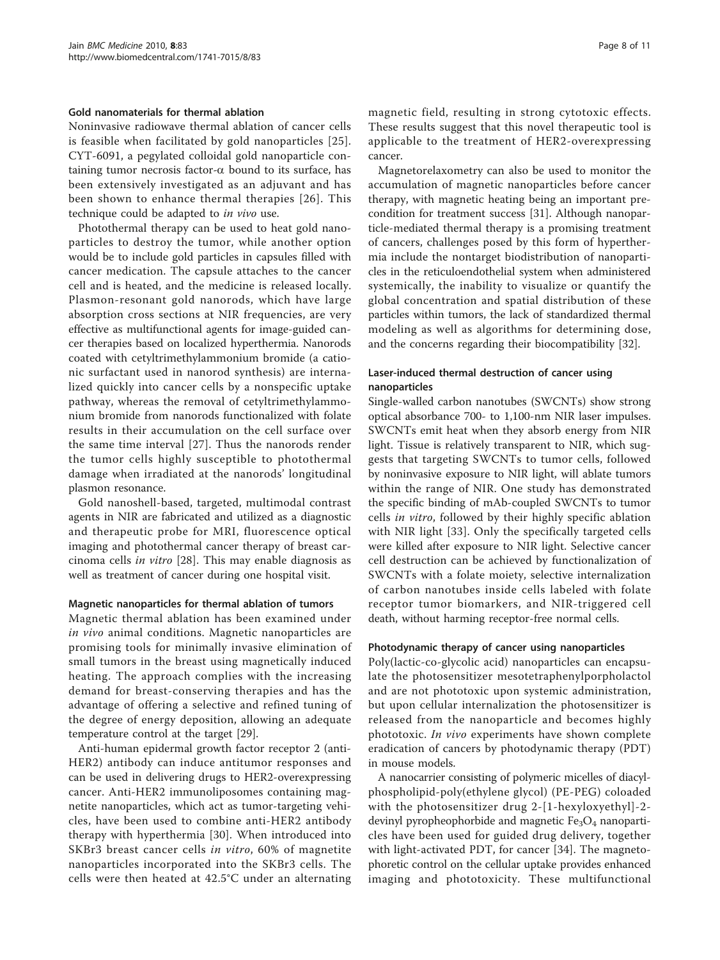#### Gold nanomaterials for thermal ablation

Noninvasive radiowave thermal ablation of cancer cells is feasible when facilitated by gold nanoparticles [[25\]](#page-10-0). CYT-6091, a pegylated colloidal gold nanoparticle containing tumor necrosis factor- $\alpha$  bound to its surface, has been extensively investigated as an adjuvant and has been shown to enhance thermal therapies [[26\]](#page-10-0). This technique could be adapted to in vivo use.

Photothermal therapy can be used to heat gold nanoparticles to destroy the tumor, while another option would be to include gold particles in capsules filled with cancer medication. The capsule attaches to the cancer cell and is heated, and the medicine is released locally. Plasmon-resonant gold nanorods, which have large absorption cross sections at NIR frequencies, are very effective as multifunctional agents for image-guided cancer therapies based on localized hyperthermia. Nanorods coated with cetyltrimethylammonium bromide (a cationic surfactant used in nanorod synthesis) are internalized quickly into cancer cells by a nonspecific uptake pathway, whereas the removal of cetyltrimethylammonium bromide from nanorods functionalized with folate results in their accumulation on the cell surface over the same time interval [\[27](#page-10-0)]. Thus the nanorods render the tumor cells highly susceptible to photothermal damage when irradiated at the nanorods' longitudinal plasmon resonance.

Gold nanoshell-based, targeted, multimodal contrast agents in NIR are fabricated and utilized as a diagnostic and therapeutic probe for MRI, fluorescence optical imaging and photothermal cancer therapy of breast carcinoma cells in vitro [\[28](#page-10-0)]. This may enable diagnosis as well as treatment of cancer during one hospital visit.

#### Magnetic nanoparticles for thermal ablation of tumors

Magnetic thermal ablation has been examined under in vivo animal conditions. Magnetic nanoparticles are promising tools for minimally invasive elimination of small tumors in the breast using magnetically induced heating. The approach complies with the increasing demand for breast-conserving therapies and has the advantage of offering a selective and refined tuning of the degree of energy deposition, allowing an adequate temperature control at the target [[29\]](#page-10-0).

Anti-human epidermal growth factor receptor 2 (anti-HER2) antibody can induce antitumor responses and can be used in delivering drugs to HER2-overexpressing cancer. Anti-HER2 immunoliposomes containing magnetite nanoparticles, which act as tumor-targeting vehicles, have been used to combine anti-HER2 antibody therapy with hyperthermia [[30\]](#page-10-0). When introduced into SKBr3 breast cancer cells in vitro, 60% of magnetite nanoparticles incorporated into the SKBr3 cells. The cells were then heated at 42.5°C under an alternating magnetic field, resulting in strong cytotoxic effects. These results suggest that this novel therapeutic tool is applicable to the treatment of HER2-overexpressing cancer.

Magnetorelaxometry can also be used to monitor the accumulation of magnetic nanoparticles before cancer therapy, with magnetic heating being an important precondition for treatment success [\[31](#page-10-0)]. Although nanoparticle-mediated thermal therapy is a promising treatment of cancers, challenges posed by this form of hyperthermia include the nontarget biodistribution of nanoparticles in the reticuloendothelial system when administered systemically, the inability to visualize or quantify the global concentration and spatial distribution of these particles within tumors, the lack of standardized thermal modeling as well as algorithms for determining dose, and the concerns regarding their biocompatibility [[32\]](#page-10-0).

# Laser-induced thermal destruction of cancer using nanoparticles

Single-walled carbon nanotubes (SWCNTs) show strong optical absorbance 700- to 1,100-nm NIR laser impulses. SWCNTs emit heat when they absorb energy from NIR light. Tissue is relatively transparent to NIR, which suggests that targeting SWCNTs to tumor cells, followed by noninvasive exposure to NIR light, will ablate tumors within the range of NIR. One study has demonstrated the specific binding of mAb-coupled SWCNTs to tumor cells in vitro, followed by their highly specific ablation with NIR light [[33](#page-10-0)]. Only the specifically targeted cells were killed after exposure to NIR light. Selective cancer cell destruction can be achieved by functionalization of SWCNTs with a folate moiety, selective internalization of carbon nanotubes inside cells labeled with folate receptor tumor biomarkers, and NIR-triggered cell death, without harming receptor-free normal cells.

## Photodynamic therapy of cancer using nanoparticles

Poly(lactic-co-glycolic acid) nanoparticles can encapsulate the photosensitizer mesotetraphenylporpholactol and are not phototoxic upon systemic administration, but upon cellular internalization the photosensitizer is released from the nanoparticle and becomes highly phototoxic. In vivo experiments have shown complete eradication of cancers by photodynamic therapy (PDT) in mouse models.

A nanocarrier consisting of polymeric micelles of diacylphospholipid-poly(ethylene glycol) (PE-PEG) coloaded with the photosensitizer drug 2-[1-hexyloxyethyl]-2 devinyl pyropheophorbide and magnetic  $Fe<sub>3</sub>O<sub>4</sub>$  nanoparticles have been used for guided drug delivery, together with light-activated PDT, for cancer [\[34](#page-10-0)]. The magnetophoretic control on the cellular uptake provides enhanced imaging and phototoxicity. These multifunctional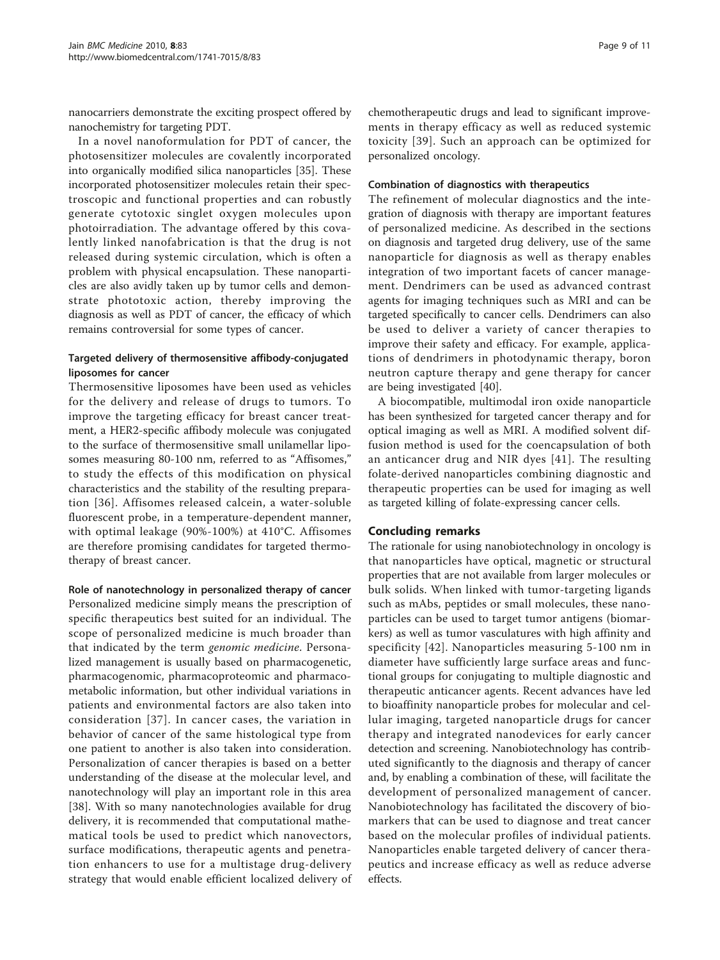nanocarriers demonstrate the exciting prospect offered by nanochemistry for targeting PDT.

In a novel nanoformulation for PDT of cancer, the photosensitizer molecules are covalently incorporated into organically modified silica nanoparticles [[35](#page-10-0)]. These incorporated photosensitizer molecules retain their spectroscopic and functional properties and can robustly generate cytotoxic singlet oxygen molecules upon photoirradiation. The advantage offered by this covalently linked nanofabrication is that the drug is not released during systemic circulation, which is often a problem with physical encapsulation. These nanoparticles are also avidly taken up by tumor cells and demonstrate phototoxic action, thereby improving the diagnosis as well as PDT of cancer, the efficacy of which remains controversial for some types of cancer.

# Targeted delivery of thermosensitive affibody-conjugated liposomes for cancer

Thermosensitive liposomes have been used as vehicles for the delivery and release of drugs to tumors. To improve the targeting efficacy for breast cancer treatment, a HER2-specific affibody molecule was conjugated to the surface of thermosensitive small unilamellar liposomes measuring 80-100 nm, referred to as "Affisomes," to study the effects of this modification on physical characteristics and the stability of the resulting preparation [[36\]](#page-10-0). Affisomes released calcein, a water-soluble fluorescent probe, in a temperature-dependent manner, with optimal leakage (90%-100%) at 410°C. Affisomes are therefore promising candidates for targeted thermotherapy of breast cancer.

Role of nanotechnology in personalized therapy of cancer

Personalized medicine simply means the prescription of specific therapeutics best suited for an individual. The scope of personalized medicine is much broader than that indicated by the term genomic medicine. Personalized management is usually based on pharmacogenetic, pharmacogenomic, pharmacoproteomic and pharmacometabolic information, but other individual variations in patients and environmental factors are also taken into consideration [[37](#page-10-0)]. In cancer cases, the variation in behavior of cancer of the same histological type from one patient to another is also taken into consideration. Personalization of cancer therapies is based on a better understanding of the disease at the molecular level, and nanotechnology will play an important role in this area [[38\]](#page-10-0). With so many nanotechnologies available for drug delivery, it is recommended that computational mathematical tools be used to predict which nanovectors, surface modifications, therapeutic agents and penetration enhancers to use for a multistage drug-delivery strategy that would enable efficient localized delivery of

chemotherapeutic drugs and lead to significant improvements in therapy efficacy as well as reduced systemic toxicity [\[39\]](#page-10-0). Such an approach can be optimized for personalized oncology.

#### Combination of diagnostics with therapeutics

The refinement of molecular diagnostics and the integration of diagnosis with therapy are important features of personalized medicine. As described in the sections on diagnosis and targeted drug delivery, use of the same nanoparticle for diagnosis as well as therapy enables integration of two important facets of cancer management. Dendrimers can be used as advanced contrast agents for imaging techniques such as MRI and can be targeted specifically to cancer cells. Dendrimers can also be used to deliver a variety of cancer therapies to improve their safety and efficacy. For example, applications of dendrimers in photodynamic therapy, boron neutron capture therapy and gene therapy for cancer are being investigated [\[40\]](#page-10-0).

A biocompatible, multimodal iron oxide nanoparticle has been synthesized for targeted cancer therapy and for optical imaging as well as MRI. A modified solvent diffusion method is used for the coencapsulation of both an anticancer drug and NIR dyes [[41\]](#page-10-0). The resulting folate-derived nanoparticles combining diagnostic and therapeutic properties can be used for imaging as well as targeted killing of folate-expressing cancer cells.

## Concluding remarks

The rationale for using nanobiotechnology in oncology is that nanoparticles have optical, magnetic or structural properties that are not available from larger molecules or bulk solids. When linked with tumor-targeting ligands such as mAbs, peptides or small molecules, these nanoparticles can be used to target tumor antigens (biomarkers) as well as tumor vasculatures with high affinity and specificity [[42](#page-10-0)]. Nanoparticles measuring 5-100 nm in diameter have sufficiently large surface areas and functional groups for conjugating to multiple diagnostic and therapeutic anticancer agents. Recent advances have led to bioaffinity nanoparticle probes for molecular and cellular imaging, targeted nanoparticle drugs for cancer therapy and integrated nanodevices for early cancer detection and screening. Nanobiotechnology has contributed significantly to the diagnosis and therapy of cancer and, by enabling a combination of these, will facilitate the development of personalized management of cancer. Nanobiotechnology has facilitated the discovery of biomarkers that can be used to diagnose and treat cancer based on the molecular profiles of individual patients. Nanoparticles enable targeted delivery of cancer therapeutics and increase efficacy as well as reduce adverse effects.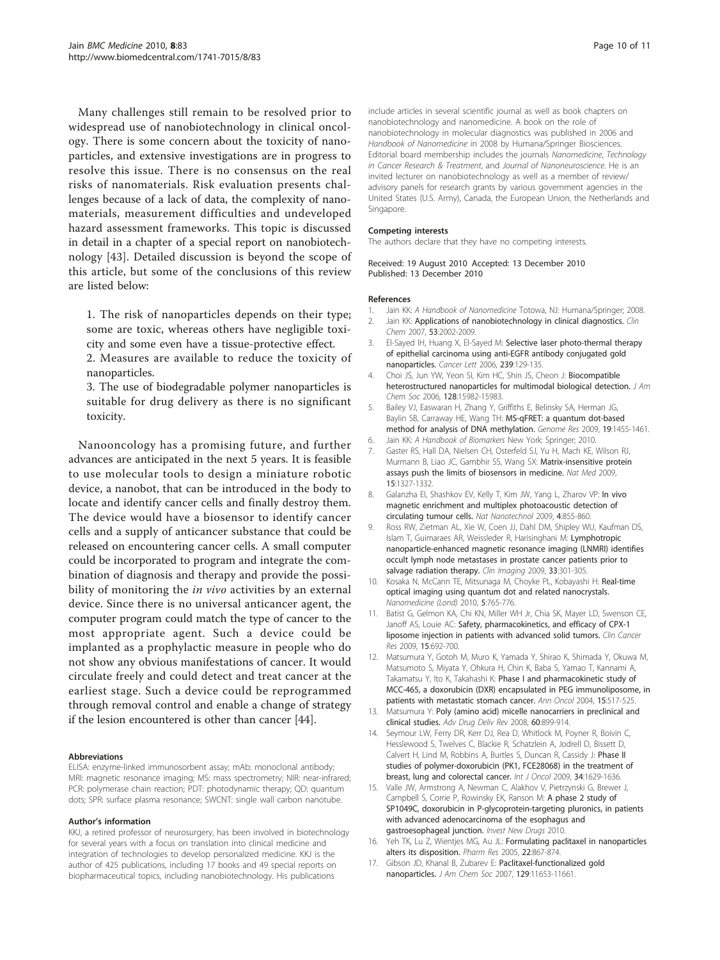<span id="page-9-0"></span>Many challenges still remain to be resolved prior to widespread use of nanobiotechnology in clinical oncology. There is some concern about the toxicity of nanoparticles, and extensive investigations are in progress to resolve this issue. There is no consensus on the real risks of nanomaterials. Risk evaluation presents challenges because of a lack of data, the complexity of nanomaterials, measurement difficulties and undeveloped hazard assessment frameworks. This topic is discussed in detail in a chapter of a special report on nanobiotechnology [\[43](#page-10-0)]. Detailed discussion is beyond the scope of this article, but some of the conclusions of this review are listed below:

1. The risk of nanoparticles depends on their type; some are toxic, whereas others have negligible toxicity and some even have a tissue-protective effect.

2. Measures are available to reduce the toxicity of nanoparticles.

3. The use of biodegradable polymer nanoparticles is suitable for drug delivery as there is no significant toxicity.

Nanooncology has a promising future, and further advances are anticipated in the next 5 years. It is feasible to use molecular tools to design a miniature robotic device, a nanobot, that can be introduced in the body to locate and identify cancer cells and finally destroy them. The device would have a biosensor to identify cancer cells and a supply of anticancer substance that could be released on encountering cancer cells. A small computer could be incorporated to program and integrate the combination of diagnosis and therapy and provide the possibility of monitoring the *in vivo* activities by an external device. Since there is no universal anticancer agent, the computer program could match the type of cancer to the most appropriate agent. Such a device could be implanted as a prophylactic measure in people who do not show any obvious manifestations of cancer. It would circulate freely and could detect and treat cancer at the earliest stage. Such a device could be reprogrammed through removal control and enable a change of strategy if the lesion encountered is other than cancer [[44\]](#page-10-0).

#### Abbreviations

ELISA: enzyme-linked immunosorbent assay; mAb: monoclonal antibody; MRI: magnetic resonance imaging; MS: mass spectrometry; NIR: near-infrared; PCR: polymerase chain reaction; PDT: photodynamic therapy; QD: quantum dots; SPR: surface plasma resonance; SWCNT: single wall carbon nanotube.

#### Author's information

KKJ, a retired professor of neurosurgery, has been involved in biotechnology for several years with a focus on translation into clinical medicine and integration of technologies to develop personalized medicine. KKJ is the author of 425 publications, including 17 books and 49 special reports on biopharmaceutical topics, including nanobiotechnology. His publications

include articles in several scientific journal as well as book chapters on nanobiotechnology and nanomedicine. A book on the role of nanobiotechnology in molecular diagnostics was published in 2006 and Handbook of Nanomedicine in 2008 by Humana/Springer Biosciences. Editorial board membership includes the journals Nanomedicine, Technology in Cancer Research & Treatment, and Journal of Nanoneuroscience. He is an invited lecturer on nanobiotechnology as well as a member of review/ advisory panels for research grants by various government agencies in the United States (U.S. Army), Canada, the European Union, the Netherlands and Singapore.

#### Competing interests

The authors declare that they have no competing interests.

Received: 19 August 2010 Accepted: 13 December 2010 Published: 13 December 2010

#### References

- 1. Jain KK: A Handbook of Nanomedicine Totowa, NJ: Humana/Springer; 2008.<br>2. Jain KK: Applications of nanobiotechnology in clinical diagnostics Clin Jain KK: [Applications of nanobiotechnology in clinical diagnostics.](http://www.ncbi.nlm.nih.gov/pubmed/17890442?dopt=Abstract) Clin
- Chem 2007, 53:2002-2009. 3. El-Sayed IH, Huang X, El-Sayed M: [Selective laser photo-thermal therapy](http://www.ncbi.nlm.nih.gov/pubmed/16198049?dopt=Abstract)
- [of epithelial carcinoma using anti-EGFR antibody conjugated gold](http://www.ncbi.nlm.nih.gov/pubmed/16198049?dopt=Abstract) [nanoparticles.](http://www.ncbi.nlm.nih.gov/pubmed/16198049?dopt=Abstract) Cancer Lett 2006, 239:129-135.
- 4. Choi JS, Jun YW, Yeon SI, Kim HC, Shin JS, Cheon J: [Biocompatible](http://www.ncbi.nlm.nih.gov/pubmed/17165720?dopt=Abstract) [heterostructured nanoparticles for multimodal biological detection.](http://www.ncbi.nlm.nih.gov/pubmed/17165720?dopt=Abstract) J Am Chem Soc 2006, 128:15982-15983.
- 5. Bailey VJ, Easwaran H, Zhang Y, Griffiths E, Belinsky SA, Herman JG, Baylin SB, Carraway HE, Wang TH: [MS-qFRET: a quantum dot-based](http://www.ncbi.nlm.nih.gov/pubmed/19443857?dopt=Abstract) [method for analysis of DNA methylation.](http://www.ncbi.nlm.nih.gov/pubmed/19443857?dopt=Abstract) Genome Res 2009, 19:1455-1461.
- 6. Jain KK: A Handbook of Biomarkers New York: Springer; 2010.
- 7. Gaster RS, Hall DA, Nielsen CH, Osterfeld SJ, Yu H, Mach KE, Wilson RJ, Murmann B, Liao JC, Gambhir SS, Wang SX: [Matrix-insensitive protein](http://www.ncbi.nlm.nih.gov/pubmed/19820717?dopt=Abstract) [assays push the limits of biosensors in medicine.](http://www.ncbi.nlm.nih.gov/pubmed/19820717?dopt=Abstract) Nat Med 2009, 15:1327-1332.
- 8. Galanzha El, Shashkov EV, Kelly T, Kim JW, Yang L, Zharov VP: [In vivo](http://www.ncbi.nlm.nih.gov/pubmed/19915570?dopt=Abstract) [magnetic enrichment and multiplex photoacoustic detection of](http://www.ncbi.nlm.nih.gov/pubmed/19915570?dopt=Abstract) [circulating tumour cells.](http://www.ncbi.nlm.nih.gov/pubmed/19915570?dopt=Abstract) Nat Nanotechnol 2009, 4:855-860.
- 9. Ross RW, Zietman AL, Xie W, Coen JJ, Dahl DM, Shipley WU, Kaufman DS, Islam T, Guimaraes AR, Weissleder R, Harisinghani M: [Lymphotropic](http://www.ncbi.nlm.nih.gov/pubmed/19559353?dopt=Abstract) [nanoparticle-enhanced magnetic resonance imaging \(LNMRI\) identifies](http://www.ncbi.nlm.nih.gov/pubmed/19559353?dopt=Abstract) [occult lymph node metastases in prostate cancer patients prior to](http://www.ncbi.nlm.nih.gov/pubmed/19559353?dopt=Abstract) [salvage radiation therapy.](http://www.ncbi.nlm.nih.gov/pubmed/19559353?dopt=Abstract) Clin Imaging 2009, 33:301-305.
- 10. Kosaka N, McCann TE, Mitsunaga M, Choyke PL, Kobayashi H: [Real-time](http://www.ncbi.nlm.nih.gov/pubmed/20662647?dopt=Abstract) [optical imaging using quantum dot and related nanocrystals.](http://www.ncbi.nlm.nih.gov/pubmed/20662647?dopt=Abstract) Nanomedicine (Lond) 2010, 5:765-776.
- 11. Batist G, Gelmon KA, Chi KN, Miller WH Jr, Chia SK, Mayer LD, Swenson CE, Janoff AS, Louie AC: [Safety, pharmacokinetics, and efficacy of CPX-1](http://www.ncbi.nlm.nih.gov/pubmed/19147776?dopt=Abstract) [liposome injection in patients with advanced solid tumors.](http://www.ncbi.nlm.nih.gov/pubmed/19147776?dopt=Abstract) Clin Cancer Res 2009, 15:692-700.
- 12. Matsumura Y, Gotoh M, Muro K, Yamada Y, Shirao K, Shimada Y, Okuwa M, Matsumoto S, Miyata Y, Ohkura H, Chin K, Baba S, Yamao T, Kannami A, Takamatsu Y, Ito K, Takahashi K: [Phase I and pharmacokinetic study of](http://www.ncbi.nlm.nih.gov/pubmed/14998859?dopt=Abstract) [MCC-465, a doxorubicin \(DXR\) encapsulated in PEG immunoliposome, in](http://www.ncbi.nlm.nih.gov/pubmed/14998859?dopt=Abstract) [patients with metastatic stomach cancer.](http://www.ncbi.nlm.nih.gov/pubmed/14998859?dopt=Abstract) Ann Oncol 2004, 15:517-525.
- 13. Matsumura Y: [Poly \(amino acid\) micelle nanocarriers in preclinical and](http://www.ncbi.nlm.nih.gov/pubmed/18406004?dopt=Abstract) [clinical studies.](http://www.ncbi.nlm.nih.gov/pubmed/18406004?dopt=Abstract) Adv Drug Deliv Rev 2008, 60:899-914.
- 14. Seymour LW, Ferry DR, Kerr DJ, Rea D, Whitlock M, Poyner R, Boivin C, Hesslewood S, Twelves C, Blackie R, Schatzlein A, Jodrell D, Bissett D, Calvert H, Lind M, Robbins A, Burtles S, Duncan R, Cassidy J: [Phase II](http://www.ncbi.nlm.nih.gov/pubmed/19424581?dopt=Abstract) [studies of polymer-doxorubicin \(PK1, FCE28068\) in the treatment of](http://www.ncbi.nlm.nih.gov/pubmed/19424581?dopt=Abstract) [breast, lung and colorectal cancer.](http://www.ncbi.nlm.nih.gov/pubmed/19424581?dopt=Abstract) Int J Oncol 2009, 34:1629-1636.
- 15. Valle JW, Armstrong A, Newman C, Alakhov V, Pietrzynski G, Brewer J, Campbell S, Corrie P, Rowinsky EK, Ranson M: [A phase 2 study of](http://www.ncbi.nlm.nih.gov/pubmed/20179989?dopt=Abstract) [SP1049C, doxorubicin in P-glycoprotein-targeting pluronics, in patients](http://www.ncbi.nlm.nih.gov/pubmed/20179989?dopt=Abstract) [with advanced adenocarcinoma of the esophagus and](http://www.ncbi.nlm.nih.gov/pubmed/20179989?dopt=Abstract) [gastroesophageal junction.](http://www.ncbi.nlm.nih.gov/pubmed/20179989?dopt=Abstract) Invest New Drugs 2010.
- 16. Yeh TK, Lu Z, Wientjes MG, Au JL: [Formulating paclitaxel in nanoparticles](http://www.ncbi.nlm.nih.gov/pubmed/15948030?dopt=Abstract) [alters its disposition.](http://www.ncbi.nlm.nih.gov/pubmed/15948030?dopt=Abstract) Pharm Res 2005, 22:867-874.
- 17. Gibson JD, Khanal B, Zubarev E: [Paclitaxel-functionalized gold](http://www.ncbi.nlm.nih.gov/pubmed/17718495?dopt=Abstract) [nanoparticles.](http://www.ncbi.nlm.nih.gov/pubmed/17718495?dopt=Abstract) J Am Chem Soc 2007, 129:11653-11661.